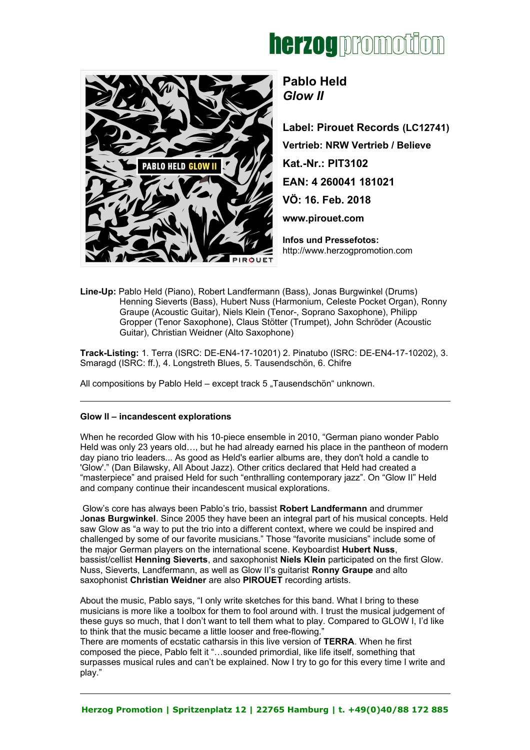



## **Pablo Held** *Glow II*

**Label: Pirouet Records (LC12741) Vertrieb: NRW Vertrieb / Believe Kat.-Nr.: PIT3102 EAN: 4 260041 181021 VÖ: 16. Feb. 2018 [www.pirouet.com](http://www.pirouet.com/)**

**Infos und Pressefotos:** [http://www.herzogpromotion.com](http://www.herzogpromotion.com/de/)

**Line-Up:** Pablo Held (Piano), Robert Landfermann (Bass), Jonas Burgwinkel (Drums) Henning Sieverts (Bass), Hubert Nuss (Harmonium, Celeste Pocket Organ), Ronny Graupe (Acoustic Guitar), Niels Klein (Tenor-, Soprano Saxophone), Philipp Gropper (Tenor Saxophone), Claus Stötter (Trumpet), John Schröder (Acoustic Guitar), Christian Weidner (Alto Saxophone)

**Track-Listing:** 1. Terra (ISRC: DE-EN4-17-10201) 2. Pinatubo (ISRC: DE-EN4-17-10202), 3. Smaragd (ISRC: ff.), 4. Longstreth Blues, 5. Tausendschön, 6. Chifre

All compositions by Pablo Held – except track  $5$  "Tausendschön" unknown.

## **Glow II – incandescent explorations**

When he recorded Glow with his 10-piece ensemble in 2010, "German piano wonder Pablo Held was only 23 years old…, but he had already earned his place in the pantheon of modern day piano trio leaders... As good as Held's earlier albums are, they don't hold a candle to 'Glow'." (Dan Bilawsky, All About Jazz). Other critics declared that Held had created a "masterpiece" and praised Held for such "enthralling contemporary jazz". On "Glow II" Held and company continue their incandescent musical explorations.

 Glow's core has always been Pablo's trio, bassist **Robert Landfermann** and drummer J**onas Burgwinkel**. Since 2005 they have been an integral part of his musical concepts. Held saw Glow as "a way to put the trio into a different context, where we could be inspired and challenged by some of our favorite musicians." Those "favorite musicians" include some of the major German players on the international scene. Keyboardist **Hubert Nuss**, bassist/cellist **Henning Sieverts**, and saxophonist **Niels Klein** participated on the first Glow. Nuss, Sieverts, Landfermann, as well as Glow II's guitarist **Ronny Graupe** and alto saxophonist **Christian Weidner** are also **PIROUET** recording artists.

About the music, Pablo says, "I only write sketches for this band. What I bring to these musicians is more like a toolbox for them to fool around with. I trust the musical judgement of these guys so much, that I don't want to tell them what to play. Compared to GLOW I, I'd like to think that the music became a little looser and free-flowing."

There are moments of ecstatic catharsis in this live version of **TERRA**. When he first composed the piece, Pablo felt it "…sounded primordial, like life itself, something that surpasses musical rules and can't be explained. Now I try to go for this every time I write and play."